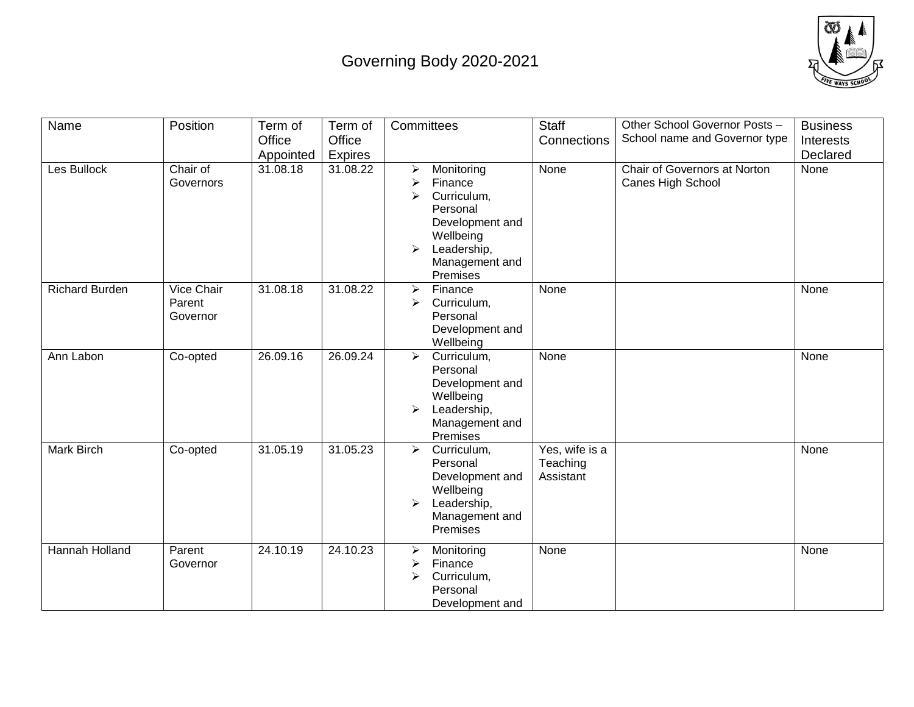## Governing Body 2020-2021



| Name                  | Position                         | Term of   | Term of        | Committees                                                                                                                                        | <b>Staff</b>                            | Other School Governor Posts -                     | <b>Business</b> |
|-----------------------|----------------------------------|-----------|----------------|---------------------------------------------------------------------------------------------------------------------------------------------------|-----------------------------------------|---------------------------------------------------|-----------------|
|                       |                                  | Office    | Office         |                                                                                                                                                   | Connections                             | School name and Governor type                     | Interests       |
|                       |                                  | Appointed | <b>Expires</b> |                                                                                                                                                   |                                         |                                                   | Declared        |
| Les Bullock           | Chair of<br>Governors            | 31.08.18  | 31.08.22       | Monitoring<br>➤<br>➤<br>Finance<br>Curriculum,<br>➤<br>Personal<br>Development and<br>Wellbeing<br>Leadership,<br>➤<br>Management and<br>Premises | None                                    | Chair of Governors at Norton<br>Canes High School | None            |
| <b>Richard Burden</b> | Vice Chair<br>Parent<br>Governor | 31.08.18  | 31.08.22       | Finance<br>$\blacktriangleright$<br>Curriculum,<br>➤<br>Personal<br>Development and<br>Wellbeing                                                  | None                                    |                                                   | None            |
| Ann Labon             | Co-opted                         | 26.09.16  | 26.09.24       | Curriculum,<br>➤<br>Personal<br>Development and<br>Wellbeing<br>Leadership,<br>➤<br>Management and<br>Premises                                    | None                                    |                                                   | None            |
| Mark Birch            | Co-opted                         | 31.05.19  | 31.05.23       | Curriculum,<br>$\blacktriangleright$<br>Personal<br>Development and<br>Wellbeing<br>Leadership,<br>➤<br>Management and<br>Premises                | Yes, wife is a<br>Teaching<br>Assistant |                                                   | None            |
| Hannah Holland        | Parent<br>Governor               | 24.10.19  | 24.10.23       | Monitoring<br>≻<br>Finance<br>➤<br>Curriculum,<br>➤<br>Personal<br>Development and                                                                | None                                    |                                                   | None            |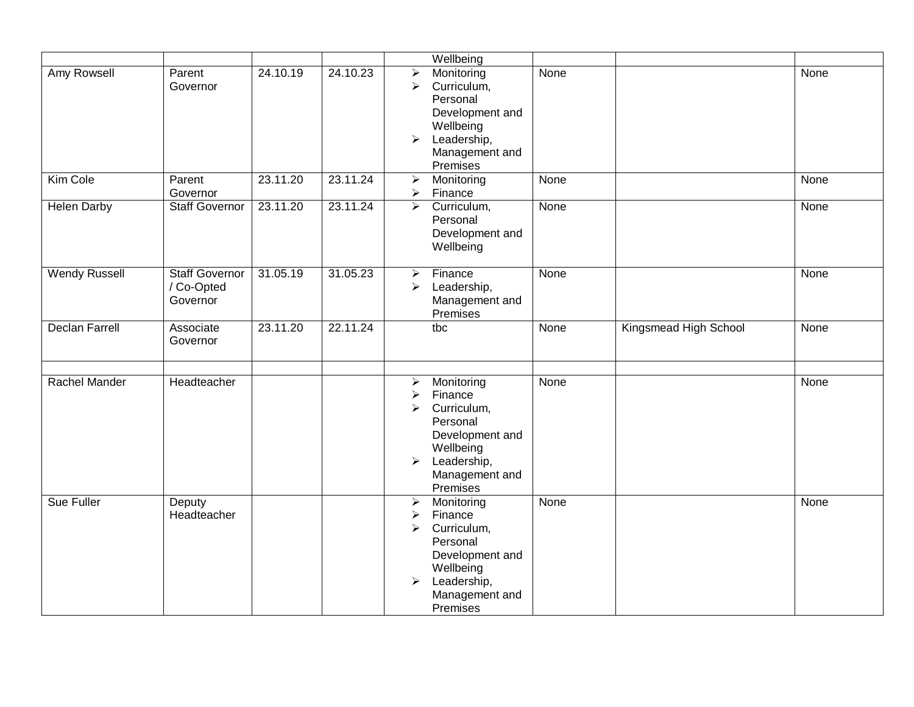|                       |                                                 |          |          | Wellbeing                                                                                                                                                                                                     |      |                       |      |
|-----------------------|-------------------------------------------------|----------|----------|---------------------------------------------------------------------------------------------------------------------------------------------------------------------------------------------------------------|------|-----------------------|------|
| Amy Rowsell           | Parent<br>Governor                              | 24.10.19 | 24.10.23 | $\blacktriangleright$<br>Monitoring<br>Curriculum,<br>$\blacktriangleright$<br>Personal<br>Development and<br>Wellbeing<br>$\blacktriangleright$<br>Leadership,<br>Management and<br>Premises                 | None |                       | None |
| Kim Cole              | Parent<br>Governor                              | 23.11.20 | 23.11.24 | $\blacktriangleright$<br>Monitoring<br>$\blacktriangleright$<br>Finance                                                                                                                                       | None |                       | None |
| <b>Helen Darby</b>    | <b>Staff Governor</b>                           | 23.11.20 | 23.11.24 | Curriculum,<br>$\blacktriangleright$<br>Personal<br>Development and<br>Wellbeing                                                                                                                              | None |                       | None |
| <b>Wendy Russell</b>  | <b>Staff Governor</b><br>/ Co-Opted<br>Governor | 31.05.19 | 31.05.23 | Finance<br>➤<br>Leadership,<br>$\blacktriangleright$<br>Management and<br>Premises                                                                                                                            | None |                       | None |
| <b>Declan Farrell</b> | Associate<br>Governor                           | 23.11.20 | 22.11.24 | tbc                                                                                                                                                                                                           | None | Kingsmead High School | None |
| Rachel Mander         | Headteacher                                     |          |          | Monitoring<br>➤<br>Finance<br>$\blacktriangleright$<br>Curriculum,<br>$\blacktriangleright$<br>Personal<br>Development and<br>Wellbeing<br>Leadership,<br>$\blacktriangleright$<br>Management and<br>Premises | None |                       | None |
| Sue Fuller            | Deputy<br>Headteacher                           |          |          | $\blacktriangleright$<br>Monitoring<br>Finance<br>➤<br>Curriculum,<br>$\blacktriangleright$<br>Personal<br>Development and<br>Wellbeing<br>Leadership,<br>$\blacktriangleright$<br>Management and<br>Premises | None |                       | None |